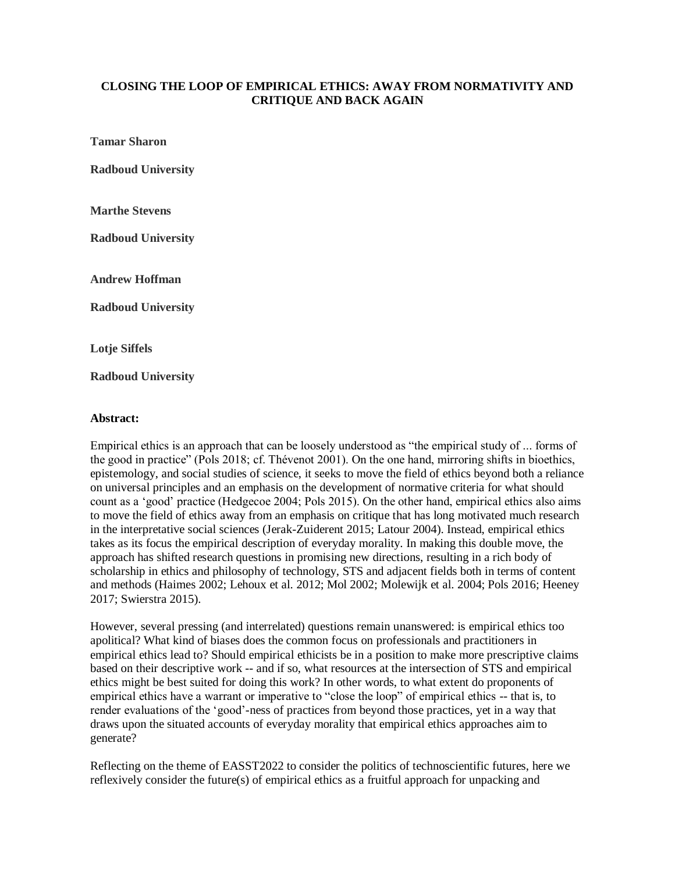## **CLOSING THE LOOP OF EMPIRICAL ETHICS: AWAY FROM NORMATIVITY AND CRITIQUE AND BACK AGAIN**

**Tamar Sharon**

**Radboud University**

**Marthe Stevens**

**Radboud University**

**Andrew Hoffman**

**Radboud University**

**Lotje Siffels**

**Radboud University**

## **Abstract:**

Empirical ethics is an approach that can be loosely understood as "the empirical study of ... forms of the good in practice" (Pols 2018; cf. Thévenot 2001). On the one hand, mirroring shifts in bioethics, epistemology, and social studies of science, it seeks to move the field of ethics beyond both a reliance on universal principles and an emphasis on the development of normative criteria for what should count as a 'good' practice (Hedgecoe 2004; Pols 2015). On the other hand, empirical ethics also aims to move the field of ethics away from an emphasis on critique that has long motivated much research in the interpretative social sciences (Jerak-Zuiderent 2015; Latour 2004). Instead, empirical ethics takes as its focus the empirical description of everyday morality. In making this double move, the approach has shifted research questions in promising new directions, resulting in a rich body of scholarship in ethics and philosophy of technology, STS and adjacent fields both in terms of content and methods (Haimes 2002; Lehoux et al. 2012; Mol 2002; Molewijk et al. 2004; Pols 2016; Heeney 2017; Swierstra 2015).

However, several pressing (and interrelated) questions remain unanswered: is empirical ethics too apolitical? What kind of biases does the common focus on professionals and practitioners in empirical ethics lead to? Should empirical ethicists be in a position to make more prescriptive claims based on their descriptive work -- and if so, what resources at the intersection of STS and empirical ethics might be best suited for doing this work? In other words, to what extent do proponents of empirical ethics have a warrant or imperative to "close the loop" of empirical ethics -- that is, to render evaluations of the 'good'-ness of practices from beyond those practices, yet in a way that draws upon the situated accounts of everyday morality that empirical ethics approaches aim to generate?

Reflecting on the theme of EASST2022 to consider the politics of technoscientific futures, here we reflexively consider the future(s) of empirical ethics as a fruitful approach for unpacking and